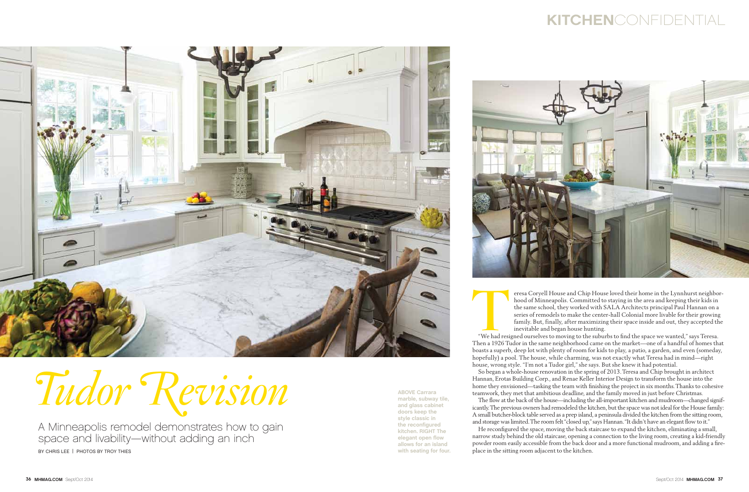A Minneapolis remodel demonstrates how to gain space and livability—without adding an inch BY CHRIS LEE | PHOTOS BY TROY THIES

## kitchenconfidential



## Tudor Revision

Teresa Coryell House and Chip House loved their home in the Lynnhurst neighborhood of Minneapolis. Committed to staying in the area and keeping their kids in the same school, they worked with SALA Architects principal Paul hood of Minneapolis. Committed to staying in the area and keeping their kids in the same school, they worked with SALA Architects principal Paul Hannan on a series of remodels to make the center-hall Colonial more livable for their growing family. But, finally, after maximizing their space inside and out, they accepted the inevitable and began house hunting.

Then a 1926 Tudor in the same neighborhood came on the market—one of a handful of homes that boasts a superb, deep lot with plenty of room for kids to play, a patio, a garden, and even (someday, hopefully) a pool. The house, while charming, was not exactly what Teresa had in mind—right house, wrong style. "I'm not a Tudor girl," she says. But she knew it had potential.

So began a whole-house renovation in the spring of 2013. Teresa and Chip brought in architect Hannan, Erotas Building Corp., and Renae Keller Interior Design to transform the house into the home they envisioned—tasking the team with finishing the project in six months. Thanks to cohesive teamwork, they met that ambitious deadline, and the family moved in just before Christmas.

The flow at the back of the house—including the all-important kitchen and mudroom—changed significantly. The previous owners had remodeled the kitchen, but the space was not ideal for the House family: A small butcher-block table served as a prep island, a peninsula divided the kitchen from the sitting room, and storage was limited. The room felt "closed up," says Hannan. "It didn't have an elegant flow to it."

He reconfigured the space, moving the back staircase to expand the kitchen, eliminating a small, narrow study behind the old staircase, opening a connection to the living room, creating a kid-friendly powder room easily accessible from the back door and a more functional mudroom, and adding a fireplace in the sitting room adjacent to the kitchen.

**ABOVE Carrara marble, subway tile, and glass cabinet doors keep the style classic in the reconfigured kitchen. RIGHT The elegant open flow allows for an island with seating for four.**